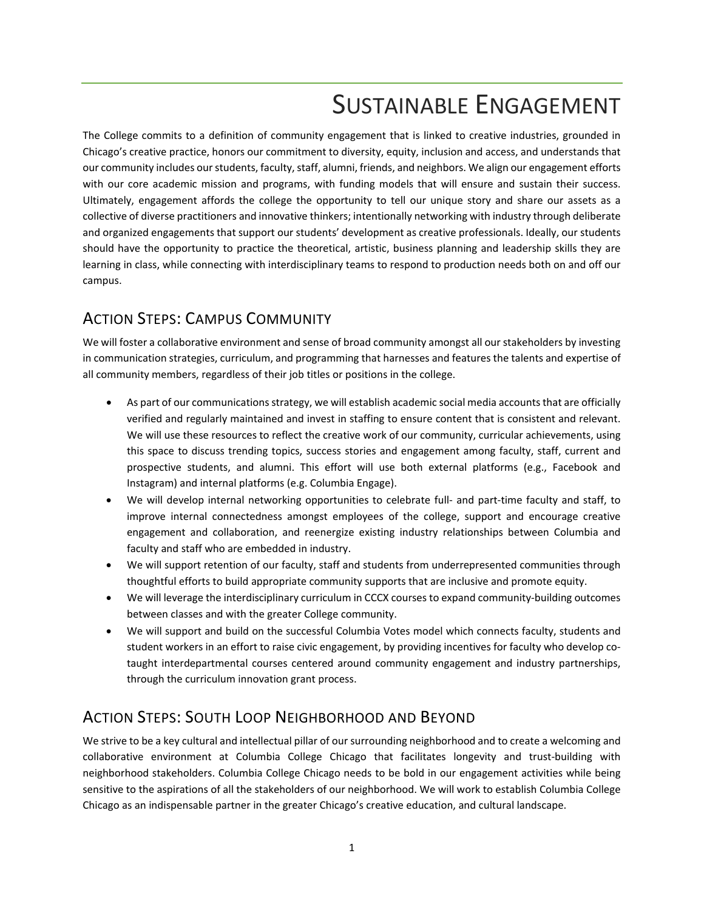# SUSTAINABLE ENGAGEMENT

The College commits to a definition of community engagement that is linked to creative industries, grounded in Chicago's creative practice, honors our commitment to diversity, equity, inclusion and access, and understands that our community includes our students, faculty, staff, alumni, friends, and neighbors. We align our engagement efforts with our core academic mission and programs, with funding models that will ensure and sustain their success. Ultimately, engagement affords the college the opportunity to tell our unique story and share our assets as a collective of diverse practitioners and innovative thinkers; intentionally networking with industry through deliberate and organized engagements that support our students' development as creative professionals. Ideally, our students should have the opportunity to practice the theoretical, artistic, business planning and leadership skills they are learning in class, while connecting with interdisciplinary teams to respond to production needs both on and off our campus.

## ACTION STEPS: CAMPUS COMMUNITY

We will foster a collaborative environment and sense of broad community amongst all our stakeholders by investing in communication strategies, curriculum, and programming that harnesses and features the talents and expertise of all community members, regardless of their job titles or positions in the college.

- As part of our communications strategy, we will establish academic social media accounts that are officially verified and regularly maintained and invest in staffing to ensure content that is consistent and relevant. We will use these resources to reflect the creative work of our community, curricular achievements, using this space to discuss trending topics, success stories and engagement among faculty, staff, current and prospective students, and alumni. This effort will use both external platforms (e.g., Facebook and Instagram) and internal platforms (e.g. Columbia Engage).
- We will develop internal networking opportunities to celebrate full- and part-time faculty and staff, to improve internal connectedness amongst employees of the college, support and encourage creative engagement and collaboration, and reenergize existing industry relationships between Columbia and faculty and staff who are embedded in industry.
- We will support retention of our faculty, staff and students from underrepresented communities through thoughtful efforts to build appropriate community supports that are inclusive and promote equity.
- We will leverage the interdisciplinary curriculum in CCCX courses to expand community-building outcomes between classes and with the greater College community.
- We will support and build on the successful Columbia Votes model which connects faculty, students and student workers in an effort to raise civic engagement, by providing incentives for faculty who develop cotaught interdepartmental courses centered around community engagement and industry partnerships, through the curriculum innovation grant process.

### ACTION STEPS: SOUTH LOOP NEIGHBORHOOD AND BEYOND

We strive to be a key cultural and intellectual pillar of our surrounding neighborhood and to create a welcoming and collaborative environment at Columbia College Chicago that facilitates longevity and trust-building with neighborhood stakeholders. Columbia College Chicago needs to be bold in our engagement activities while being sensitive to the aspirations of all the stakeholders of our neighborhood. We will work to establish Columbia College Chicago as an indispensable partner in the greater Chicago's creative education, and cultural landscape.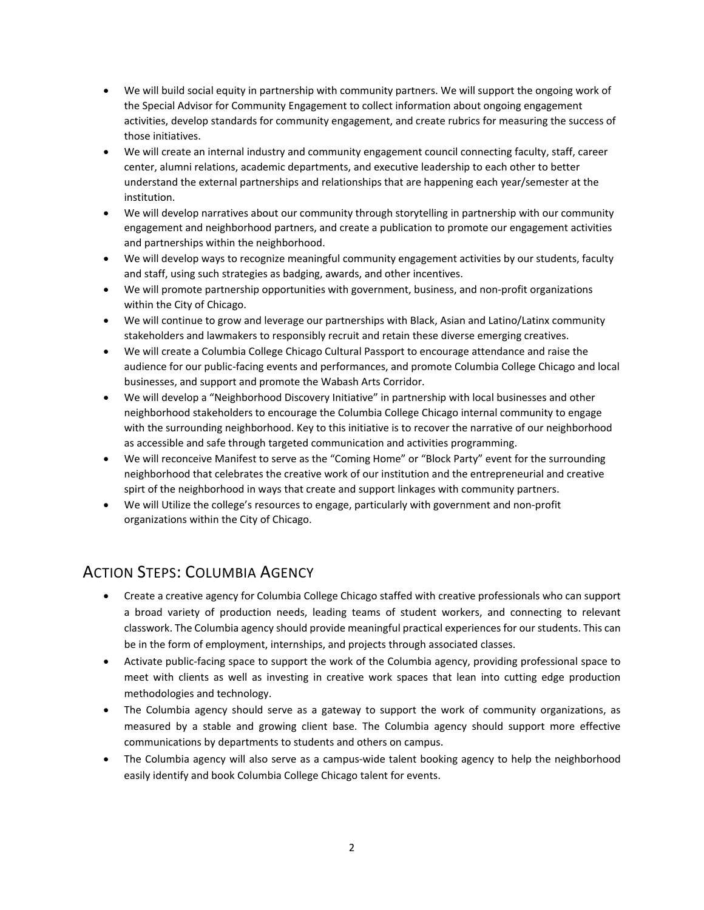- We will build social equity in partnership with community partners. We will support the ongoing work of the Special Advisor for Community Engagement to collect information about ongoing engagement activities, develop standards for community engagement, and create rubrics for measuring the success of those initiatives.
- We will create an internal industry and community engagement council connecting faculty, staff, career center, alumni relations, academic departments, and executive leadership to each other to better understand the external partnerships and relationships that are happening each year/semester at the institution.
- We will develop narratives about our community through storytelling in partnership with our community engagement and neighborhood partners, and create a publication to promote our engagement activities and partnerships within the neighborhood.
- We will develop ways to recognize meaningful community engagement activities by our students, faculty and staff, using such strategies as badging, awards, and other incentives.
- We will promote partnership opportunities with government, business, and non-profit organizations within the City of Chicago.
- We will continue to grow and leverage our partnerships with Black, Asian and Latino/Latinx community stakeholders and lawmakers to responsibly recruit and retain these diverse emerging creatives.
- We will create a Columbia College Chicago Cultural Passport to encourage attendance and raise the audience for our public-facing events and performances, and promote Columbia College Chicago and local businesses, and support and promote the Wabash Arts Corridor.
- We will develop a "Neighborhood Discovery Initiative" in partnership with local businesses and other neighborhood stakeholders to encourage the Columbia College Chicago internal community to engage with the surrounding neighborhood. Key to this initiative is to recover the narrative of our neighborhood as accessible and safe through targeted communication and activities programming.
- We will reconceive Manifest to serve as the "Coming Home" or "Block Party" event for the surrounding neighborhood that celebrates the creative work of our institution and the entrepreneurial and creative spirt of the neighborhood in ways that create and support linkages with community partners.
- We will Utilize the college's resources to engage, particularly with government and non-profit organizations within the City of Chicago.

#### ACTION STEPS: COLUMBIA AGENCY

- Create a creative agency for Columbia College Chicago staffed with creative professionals who can support a broad variety of production needs, leading teams of student workers, and connecting to relevant classwork. The Columbia agency should provide meaningful practical experiences for our students. This can be in the form of employment, internships, and projects through associated classes.
- Activate public-facing space to support the work of the Columbia agency, providing professional space to meet with clients as well as investing in creative work spaces that lean into cutting edge production methodologies and technology.
- The Columbia agency should serve as a gateway to support the work of community organizations, as measured by a stable and growing client base. The Columbia agency should support more effective communications by departments to students and others on campus.
- The Columbia agency will also serve as a campus-wide talent booking agency to help the neighborhood easily identify and book Columbia College Chicago talent for events.